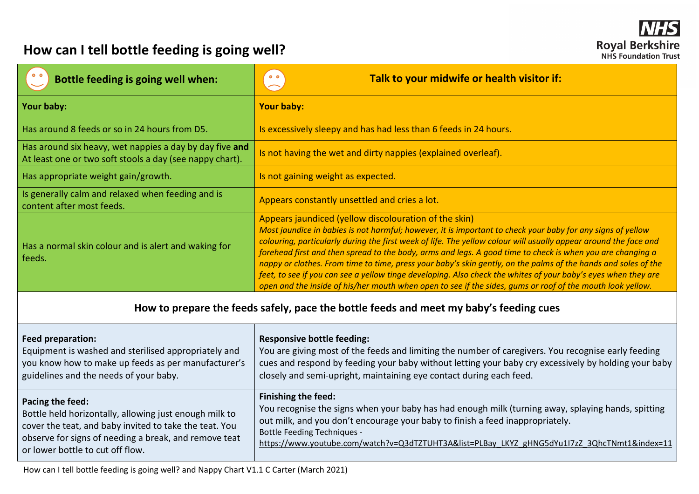## **How can I tell bottle feeding is going well?**

| Bottle feeding is going well when:                                                                                                                                                                                                | Talk to your midwife or health visitor if:<br>0 <sub>o</sub>                                                                                                                                                                                                                                                                                                                                                                                                                                                                                                                                                                                                                                                                                             |  |  |  |
|-----------------------------------------------------------------------------------------------------------------------------------------------------------------------------------------------------------------------------------|----------------------------------------------------------------------------------------------------------------------------------------------------------------------------------------------------------------------------------------------------------------------------------------------------------------------------------------------------------------------------------------------------------------------------------------------------------------------------------------------------------------------------------------------------------------------------------------------------------------------------------------------------------------------------------------------------------------------------------------------------------|--|--|--|
| Your baby:                                                                                                                                                                                                                        | <b>Your baby:</b>                                                                                                                                                                                                                                                                                                                                                                                                                                                                                                                                                                                                                                                                                                                                        |  |  |  |
| Has around 8 feeds or so in 24 hours from D5.                                                                                                                                                                                     | Is excessively sleepy and has had less than 6 feeds in 24 hours.                                                                                                                                                                                                                                                                                                                                                                                                                                                                                                                                                                                                                                                                                         |  |  |  |
| Has around six heavy, wet nappies a day by day five and<br>At least one or two soft stools a day (see nappy chart).                                                                                                               | Is not having the wet and dirty nappies (explained overleaf).                                                                                                                                                                                                                                                                                                                                                                                                                                                                                                                                                                                                                                                                                            |  |  |  |
| Has appropriate weight gain/growth.                                                                                                                                                                                               | Is not gaining weight as expected.                                                                                                                                                                                                                                                                                                                                                                                                                                                                                                                                                                                                                                                                                                                       |  |  |  |
| Is generally calm and relaxed when feeding and is<br>content after most feeds.                                                                                                                                                    | Appears constantly unsettled and cries a lot.                                                                                                                                                                                                                                                                                                                                                                                                                                                                                                                                                                                                                                                                                                            |  |  |  |
| Has a normal skin colour and is alert and waking for<br>feeds.                                                                                                                                                                    | Appears jaundiced (yellow discolouration of the skin)<br>Most jaundice in babies is not harmful; however, it is important to check your baby for any signs of yellow<br>colouring, particularly during the first week of life. The yellow colour will usually appear around the face and<br>forehead first and then spread to the body, arms and legs. A good time to check is when you are changing a<br>nappy or clothes. From time to time, press your baby's skin gently, on the palms of the hands and soles of the<br>feet, to see if you can see a yellow tinge developing. Also check the whites of your baby's eyes when they are<br>open and the inside of his/her mouth when open to see if the sides, gums or roof of the mouth look yellow. |  |  |  |
| How to prepare the feeds safely, pace the bottle feeds and meet my baby's feeding cues                                                                                                                                            |                                                                                                                                                                                                                                                                                                                                                                                                                                                                                                                                                                                                                                                                                                                                                          |  |  |  |
| <b>Feed preparation:</b><br>Equipment is washed and sterilised appropriately and<br>you know how to make up feeds as per manufacturer's<br>guidelines and the needs of your baby.                                                 | <b>Responsive bottle feeding:</b><br>You are giving most of the feeds and limiting the number of caregivers. You recognise early feeding<br>cues and respond by feeding your baby without letting your baby cry excessively by holding your baby<br>closely and semi-upright, maintaining eye contact during each feed.                                                                                                                                                                                                                                                                                                                                                                                                                                  |  |  |  |
| Pacing the feed:<br>Bottle held horizontally, allowing just enough milk to<br>cover the teat, and baby invited to take the teat. You<br>observe for signs of needing a break, and remove teat<br>or lower bottle to cut off flow. | <b>Finishing the feed:</b><br>You recognise the signs when your baby has had enough milk (turning away, splaying hands, spitting<br>out milk, and you don't encourage your baby to finish a feed inappropriately.<br><b>Bottle Feeding Techniques -</b><br>https://www.youtube.com/watch?v=Q3dTZTUHT3A&list=PLBay_LKYZ_gHNG5dYu1l7zZ_3QhcTNmt1&index=11                                                                                                                                                                                                                                                                                                                                                                                                  |  |  |  |

How can I tell bottle feeding is going well? and Nappy Chart V1.1 C Carter (March 2021)